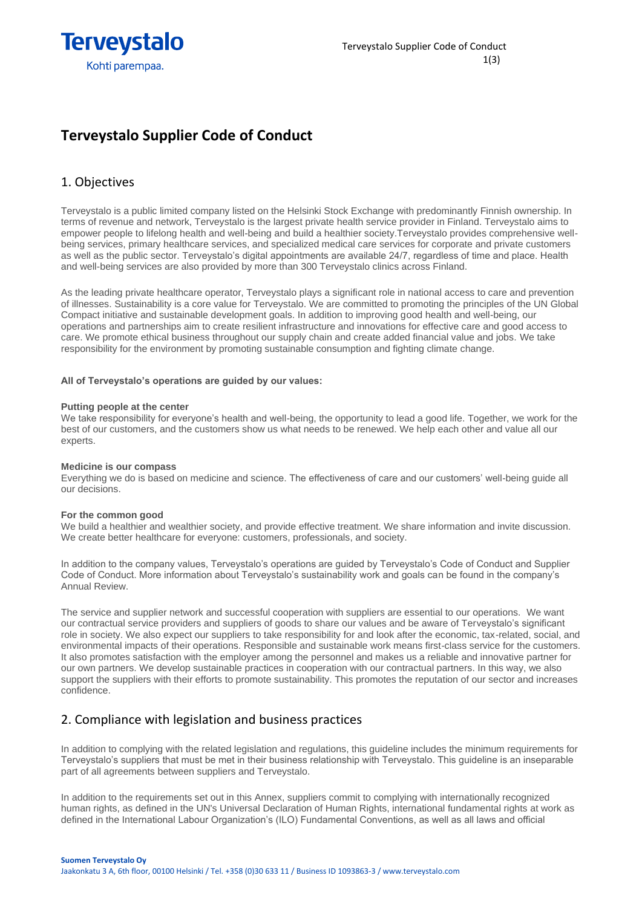

## **Terveystalo Supplier Code of Conduct**

## 1. Objectives

Terveystalo is a public limited company listed on the Helsinki Stock Exchange with predominantly Finnish ownership. In terms of revenue and network, Terveystalo is the largest private health service provider in Finland. Terveystalo aims to empower people to lifelong health and well-being and build a healthier society.Terveystalo provides comprehensive wellbeing services, primary healthcare services, and specialized medical care services for corporate and private customers as well as the public sector. Terveystalo's digital appointments are available 24/7, regardless of time and place. Health and well-being services are also provided by more than 300 Terveystalo clinics across Finland.

As the leading private healthcare operator, Terveystalo plays a significant role in national access to care and prevention of illnesses. Sustainability is a core value for Terveystalo. We are committed to promoting the principles of the UN Global Compact initiative and sustainable development goals. In addition to improving good health and well-being, our operations and partnerships aim to create resilient infrastructure and innovations for effective care and good access to care. We promote ethical business throughout our supply chain and create added financial value and jobs. We take responsibility for the environment by promoting sustainable consumption and fighting climate change.

### **All of Terveystalo's operations are guided by our values:**

### **Putting people at the center**

We take responsibility for everyone's health and well-being, the opportunity to lead a good life. Together, we work for the best of our customers, and the customers show us what needs to be renewed. We help each other and value all our experts.

### **Medicine is our compass**

Everything we do is based on medicine and science. The effectiveness of care and our customers' well-being guide all our decisions.

### **For the common good**

We build a healthier and wealthier society, and provide effective treatment. We share information and invite discussion. We create better healthcare for everyone: customers, professionals, and society.

In addition to the company values, Terveystalo's operations are guided by Terveystalo's Code of Conduct and Supplier Code of Conduct. More information about Terveystalo's sustainability work and goals can be found in the company's Annual Review.

The service and supplier network and successful cooperation with suppliers are essential to our operations. We want our contractual service providers and suppliers of goods to share our values and be aware of Terveystalo's significant role in society. We also expect our suppliers to take responsibility for and look after the economic, tax-related, social, and environmental impacts of their operations. Responsible and sustainable work means first-class service for the customers. It also promotes satisfaction with the employer among the personnel and makes us a reliable and innovative partner for our own partners. We develop sustainable practices in cooperation with our contractual partners. In this way, we also support the suppliers with their efforts to promote sustainability. This promotes the reputation of our sector and increases confidence.

### 2. Compliance with legislation and business practices

In addition to complying with the related legislation and regulations, this guideline includes the minimum requirements for Terveystalo's suppliers that must be met in their business relationship with Terveystalo. This guideline is an inseparable part of all agreements between suppliers and Terveystalo.

In addition to the requirements set out in this Annex, suppliers commit to complying with internationally recognized human rights, as defined in the UN's Universal Declaration of Human Rights, international fundamental rights at work as defined in the International Labour Organization's (ILO) Fundamental Conventions, as well as all laws and official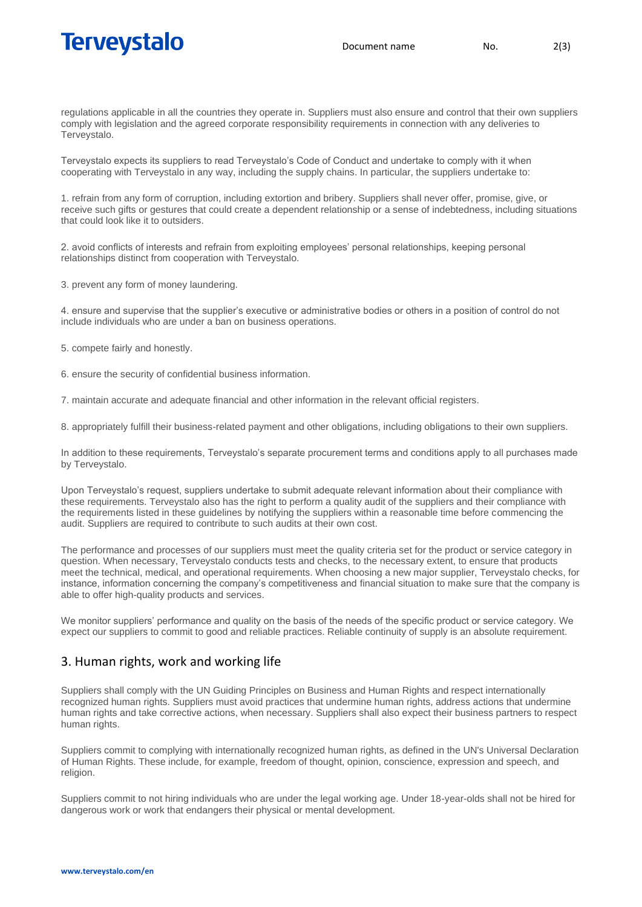# Terveystalo

regulations applicable in all the countries they operate in. Suppliers must also ensure and control that their own suppliers comply with legislation and the agreed corporate responsibility requirements in connection with any deliveries to Terveystalo.

Terveystalo expects its suppliers to read Terveystalo's Code of Conduct and undertake to comply with it when cooperating with Terveystalo in any way, including the supply chains. In particular, the suppliers undertake to:

1. refrain from any form of corruption, including extortion and bribery. Suppliers shall never offer, promise, give, or receive such gifts or gestures that could create a dependent relationship or a sense of indebtedness, including situations that could look like it to outsiders.

2. avoid conflicts of interests and refrain from exploiting employees' personal relationships, keeping personal relationships distinct from cooperation with Terveystalo.

3. prevent any form of money laundering.

4. ensure and supervise that the supplier's executive or administrative bodies or others in a position of control do not include individuals who are under a ban on business operations.

5. compete fairly and honestly.

6. ensure the security of confidential business information.

7. maintain accurate and adequate financial and other information in the relevant official registers.

8. appropriately fulfill their business-related payment and other obligations, including obligations to their own suppliers.

In addition to these requirements, Terveystalo's separate procurement terms and conditions apply to all purchases made by Terveystalo.

Upon Terveystalo's request, suppliers undertake to submit adequate relevant information about their compliance with these requirements. Terveystalo also has the right to perform a quality audit of the suppliers and their compliance with the requirements listed in these guidelines by notifying the suppliers within a reasonable time before commencing the audit. Suppliers are required to contribute to such audits at their own cost.

The performance and processes of our suppliers must meet the quality criteria set for the product or service category in question. When necessary, Terveystalo conducts tests and checks, to the necessary extent, to ensure that products meet the technical, medical, and operational requirements. When choosing a new major supplier, Terveystalo checks, for instance, information concerning the company's competitiveness and financial situation to make sure that the company is able to offer high-quality products and services.

We monitor suppliers' performance and quality on the basis of the needs of the specific product or service category. We expect our suppliers to commit to good and reliable practices. Reliable continuity of supply is an absolute requirement.

## 3. Human rights, work and working life

Suppliers shall comply with the UN Guiding Principles on Business and Human Rights and respect internationally recognized human rights. Suppliers must avoid practices that undermine human rights, address actions that undermine human rights and take corrective actions, when necessary. Suppliers shall also expect their business partners to respect human rights.

Suppliers commit to complying with internationally recognized human rights, as defined in the UN's Universal Declaration of Human Rights. These include, for example, freedom of thought, opinion, conscience, expression and speech, and religion.

Suppliers commit to not hiring individuals who are under the legal working age. Under 18-year-olds shall not be hired for dangerous work or work that endangers their physical or mental development.